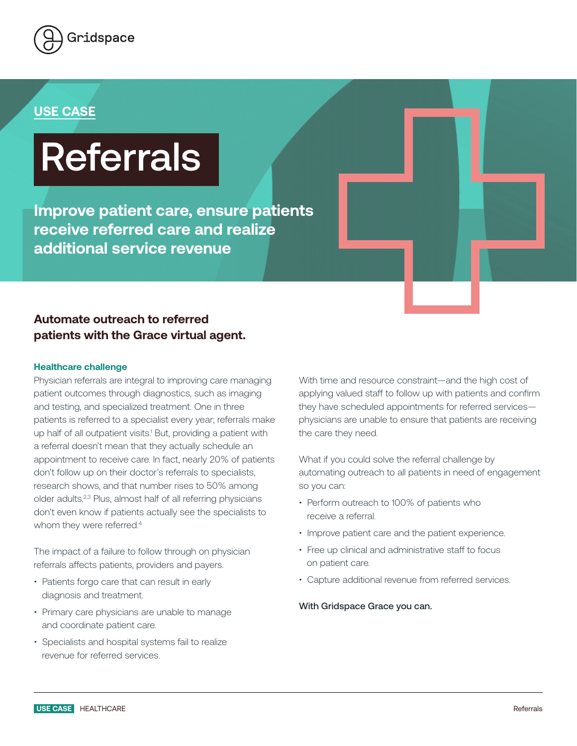

## **USE CASE**

# Referrals

**Improve patient care, ensure patients receive referred care and realize additional service revenue**

### **Automate outreach to referred patients with the Grace virtual agent.**

#### **Healthcare challenge**

Physician referrals are integral to improving care managing patient outcomes through diagnostics, such as imaging and testing, and specialized treatment. One in three patients is referred to a specialist every year; referrals make up half of all outpatient visits.<sup>1</sup> But, providing a patient with a referral doesn't mean that they actually schedule an appointment to receive care. In fact, nearly 20% of patients don't follow up on their doctor's referrals to specialists, research shows, and that number rises to 50% among older adults.2,3 Plus, almost half of all referring physicians don't even know if patients actually see the specialists to whom they were referred.<sup>4</sup>

The impact of a failure to follow through on physician referrals affects patients, providers and payers.

- Patients forgo care that can result in early diagnosis and treatment.
- Primary care physicians are unable to manage and coordinate patient care.
- Specialists and hospital systems fail to realize revenue for referred services.

With time and resource constraint—and the high cost of applying valued staff to follow up with patients and confirm they have scheduled appointments for referred services physicians are unable to ensure that patients are receiving the care they need.

What if you could solve the referral challenge by automating outreach to all patients in need of engagement so you can:

- Perform outreach to 100% of patients who receive a referral.
- Improve patient care and the patient experience.
- Free up clinical and administrative staff to focus on patient care.
- Capture additional revenue from referred services.

With Gridspace Grace you can.